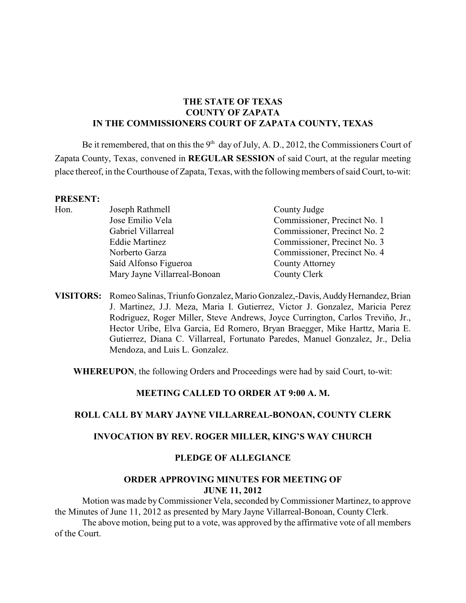## **THE STATE OF TEXAS COUNTY OF ZAPATA IN THE COMMISSIONERS COURT OF ZAPATA COUNTY, TEXAS**

Be it remembered, that on this the  $9<sup>th</sup>$  day of July, A. D., 2012, the Commissioners Court of Zapata County, Texas, convened in **REGULAR SESSION** of said Court, at the regular meeting place thereof, in the Courthouse of Zapata, Texas, with the following members of said Court, to-wit:

#### **PRESENT:**

| .    |                              |                              |
|------|------------------------------|------------------------------|
| Hon. | Joseph Rathmell              | County Judge                 |
|      | Jose Emilio Vela             | Commissioner, Precinct No. 1 |
|      | Gabriel Villarreal           | Commissioner, Precinct No. 2 |
|      | <b>Eddie Martinez</b>        | Commissioner, Precinct No. 3 |
|      | Norberto Garza               | Commissioner, Precinct No. 4 |
|      | Saíd Alfonso Figueroa        | <b>County Attorney</b>       |
|      | Mary Jayne Villarreal-Bonoan | County Clerk                 |
|      |                              |                              |

**VISITORS:** Romeo Salinas, Triunfo Gonzalez, Mario Gonzalez,-Davis, Auddy Hernandez, Brian J. Martinez, J.J. Meza, Maria I. Gutierrez, Victor J. Gonzalez, Maricia Perez Rodriguez, Roger Miller, Steve Andrews, Joyce Currington, Carlos Treviño, Jr., Hector Uribe, Elva Garcia, Ed Romero, Bryan Braegger, Mike Harttz, Maria E. Gutierrez, Diana C. Villarreal, Fortunato Paredes, Manuel Gonzalez, Jr., Delia Mendoza, and Luis L. Gonzalez.

**WHEREUPON**, the following Orders and Proceedings were had by said Court, to-wit:

#### **MEETING CALLED TO ORDER AT 9:00 A. M.**

#### **ROLL CALL BY MARY JAYNE VILLARREAL-BONOAN, COUNTY CLERK**

#### **INVOCATION BY REV. ROGER MILLER, KING'S WAY CHURCH**

#### **PLEDGE OF ALLEGIANCE**

#### **ORDER APPROVING MINUTES FOR MEETING OF JUNE 11, 2012**

Motion was made byCommissioner Vela, seconded by Commissioner Martinez, to approve the Minutes of June 11, 2012 as presented by Mary Jayne Villarreal-Bonoan, County Clerk.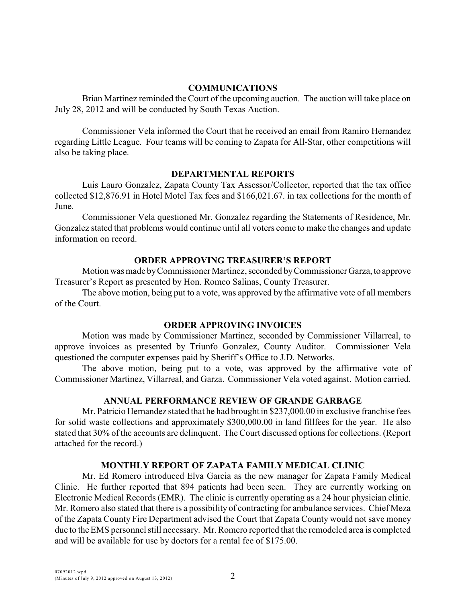#### **COMMUNICATIONS**

Brian Martinez reminded the Court of the upcoming auction. The auction will take place on July 28, 2012 and will be conducted by South Texas Auction.

Commissioner Vela informed the Court that he received an email from Ramiro Hernandez regarding Little League. Four teams will be coming to Zapata for All-Star, other competitions will also be taking place.

#### **DEPARTMENTAL REPORTS**

Luis Lauro Gonzalez, Zapata County Tax Assessor/Collector, reported that the tax office collected \$12,876.91 in Hotel Motel Tax fees and \$166,021.67. in tax collections for the month of June.

Commissioner Vela questioned Mr. Gonzalez regarding the Statements of Residence, Mr. Gonzalez stated that problems would continue until all voters come to make the changes and update information on record.

### **ORDER APPROVING TREASURER'S REPORT**

Motion was made by Commissioner Martinez, seconded by Commissioner Garza, to approve Treasurer's Report as presented by Hon. Romeo Salinas, County Treasurer.

The above motion, being put to a vote, was approved by the affirmative vote of all members of the Court.

#### **ORDER APPROVING INVOICES**

Motion was made by Commissioner Martinez, seconded by Commissioner Villarreal, to approve invoices as presented by Triunfo Gonzalez, County Auditor. Commissioner Vela questioned the computer expenses paid by Sheriff's Office to J.D. Networks.

The above motion, being put to a vote, was approved by the affirmative vote of Commissioner Martinez, Villarreal, and Garza. Commissioner Vela voted against. Motion carried.

#### **ANNUAL PERFORMANCE REVIEW OF GRANDE GARBAGE**

Mr. Patricio Hernandez stated that he had brought in \$237,000.00 in exclusive franchise fees for solid waste collections and approximately \$300,000.00 in land fillfees for the year. He also stated that 30% of the accounts are delinquent. The Court discussed options for collections. (Report attached for the record.)

## **MONTHLY REPORT OF ZAPATA FAMILY MEDICAL CLINIC**

Mr. Ed Romero introduced Elva Garcia as the new manager for Zapata Family Medical Clinic. He further reported that 894 patients had been seen. They are currently working on Electronic Medical Records (EMR). The clinic is currently operating as a 24 hour physician clinic. Mr. Romero also stated that there is a possibility of contracting for ambulance services. Chief Meza of the Zapata County Fire Department advised the Court that Zapata County would not save money due to theEMS personnel still necessary. Mr. Romero reported that the remodeled area is completed and will be available for use by doctors for a rental fee of \$175.00.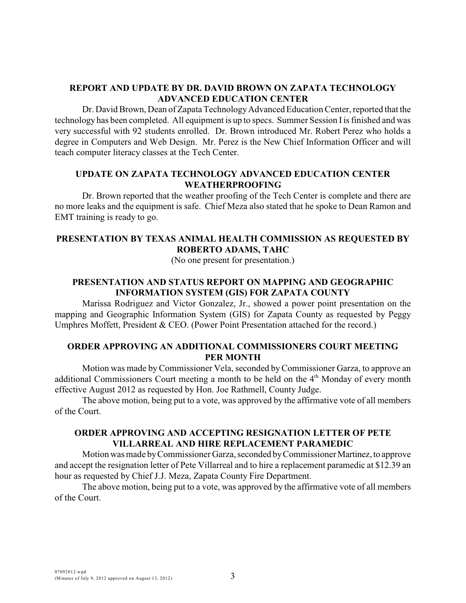## **REPORT AND UPDATE BY DR. DAVID BROWN ON ZAPATA TECHNOLOGY ADVANCED EDUCATION CENTER**

Dr. David Brown, Dean of Zapata TechnologyAdvanced Education Center, reported that the technology has been completed. All equipment is up to specs. Summer Session I is finished and was very successful with 92 students enrolled. Dr. Brown introduced Mr. Robert Perez who holds a degree in Computers and Web Design. Mr. Perez is the New Chief Information Officer and will teach computer literacy classes at the Tech Center.

## **UPDATE ON ZAPATA TECHNOLOGY ADVANCED EDUCATION CENTER WEATHERPROOFING**

Dr. Brown reported that the weather proofing of the Tech Center is complete and there are no more leaks and the equipment is safe. Chief Meza also stated that he spoke to Dean Ramon and EMT training is ready to go.

## **PRESENTATION BY TEXAS ANIMAL HEALTH COMMISSION AS REQUESTED BY ROBERTO ADAMS, TAHC**

(No one present for presentation.)

# **PRESENTATION AND STATUS REPORT ON MAPPING AND GEOGRAPHIC INFORMATION SYSTEM (GIS) FOR ZAPATA COUNTY**

Marissa Rodriguez and Victor Gonzalez, Jr., showed a power point presentation on the mapping and Geographic Information System (GIS) for Zapata County as requested by Peggy Umphres Moffett, President & CEO. (Power Point Presentation attached for the record.)

### **ORDER APPROVING AN ADDITIONAL COMMISSIONERS COURT MEETING PER MONTH**

Motion was made by Commissioner Vela, seconded by Commissioner Garza, to approve an additional Commissioners Court meeting a month to be held on the  $4<sup>th</sup>$  Monday of every month effective August 2012 as requested by Hon. Joe Rathmell, County Judge.

The above motion, being put to a vote, was approved by the affirmative vote of all members of the Court.

### **ORDER APPROVING AND ACCEPTING RESIGNATION LETTER OF PETE VILLARREAL AND HIRE REPLACEMENT PARAMEDIC**

Motion was made by Commissioner Garza, seconded by Commissioner Martinez, to approve and accept the resignation letter of Pete Villarreal and to hire a replacement paramedic at \$12.39 an hour as requested by Chief J.J. Meza, Zapata County Fire Department.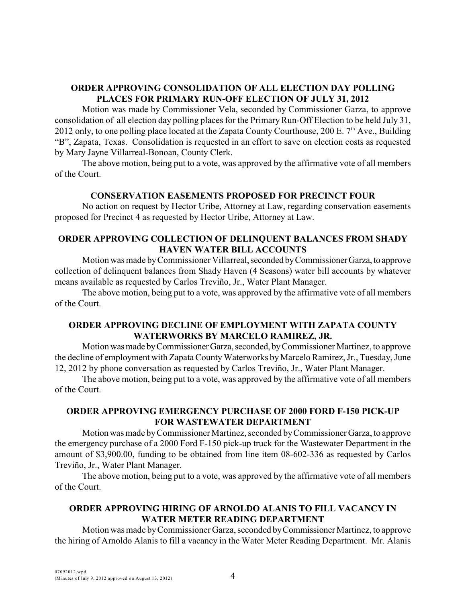# **ORDER APPROVING CONSOLIDATION OF ALL ELECTION DAY POLLING PLACES FOR PRIMARY RUN-OFF ELECTION OF JULY 31, 2012**

Motion was made by Commissioner Vela, seconded by Commissioner Garza, to approve consolidation of all election day polling places for the Primary Run-Off Election to be held July 31, 2012 only, to one polling place located at the Zapata County Courthouse, 200 E.  $7<sup>th</sup>$  Ave., Building "B", Zapata, Texas. Consolidation is requested in an effort to save on election costs as requested by Mary Jayne Villarreal-Bonoan, County Clerk.

The above motion, being put to a vote, was approved by the affirmative vote of all members of the Court.

## **CONSERVATION EASEMENTS PROPOSED FOR PRECINCT FOUR**

No action on request by Hector Uribe, Attorney at Law, regarding conservation easements proposed for Precinct 4 as requested by Hector Uribe, Attorney at Law.

## **ORDER APPROVING COLLECTION OF DELINQUENT BALANCES FROM SHADY HAVEN WATER BILL ACCOUNTS**

Motion was made by Commissioner Villarreal, seconded by Commissioner Garza, to approve collection of delinquent balances from Shady Haven (4 Seasons) water bill accounts by whatever means available as requested by Carlos Treviño, Jr., Water Plant Manager.

The above motion, being put to a vote, was approved by the affirmative vote of all members of the Court.

## **ORDER APPROVING DECLINE OF EMPLOYMENT WITH ZAPATA COUNTY WATERWORKS BY MARCELO RAMIREZ, JR.**

Motion was made by Commissioner Garza, seconded, by Commissioner Martinez, to approve the decline of employment with Zapata County Waterworks by Marcelo Ramirez, Jr., Tuesday, June 12, 2012 by phone conversation as requested by Carlos Treviño, Jr., Water Plant Manager.

The above motion, being put to a vote, was approved by the affirmative vote of all members of the Court.

## **ORDER APPROVING EMERGENCY PURCHASE OF 2000 FORD F-150 PICK-UP FOR WASTEWATER DEPARTMENT**

Motion was made by Commissioner Martinez, seconded by Commissioner Garza, to approve the emergency purchase of a 2000 Ford F-150 pick-up truck for the Wastewater Department in the amount of \$3,900.00, funding to be obtained from line item 08-602-336 as requested by Carlos Treviño, Jr., Water Plant Manager.

The above motion, being put to a vote, was approved by the affirmative vote of all members of the Court.

## **ORDER APPROVING HIRING OF ARNOLDO ALANIS TO FILL VACANCY IN WATER METER READING DEPARTMENT**

Motion was made by Commissioner Garza, seconded by Commissioner Martinez, to approve the hiring of Arnoldo Alanis to fill a vacancy in the Water Meter Reading Department. Mr. Alanis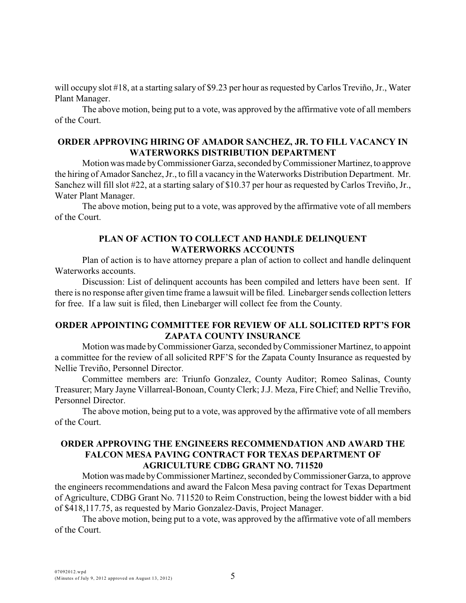will occupy slot #18, at a starting salary of \$9.23 per hour as requested by Carlos Treviño, Jr., Water Plant Manager.

The above motion, being put to a vote, was approved by the affirmative vote of all members of the Court.

### **ORDER APPROVING HIRING OF AMADOR SANCHEZ, JR. TO FILL VACANCY IN WATERWORKS DISTRIBUTION DEPARTMENT**

Motion was made by Commissioner Garza, seconded by Commissioner Martinez, to approve the hiring of Amador Sanchez, Jr., to fill a vacancy in the Waterworks Distribution Department. Mr. Sanchez will fill slot #22, at a starting salary of \$10.37 per hour as requested by Carlos Treviño, Jr., Water Plant Manager.

The above motion, being put to a vote, was approved by the affirmative vote of all members of the Court.

## **PLAN OF ACTION TO COLLECT AND HANDLE DELINQUENT WATERWORKS ACCOUNTS**

Plan of action is to have attorney prepare a plan of action to collect and handle delinquent Waterworks accounts.

Discussion: List of delinquent accounts has been compiled and letters have been sent. If there is no response after given time frame a lawsuit will be filed. Linebarger sends collection letters for free. If a law suit is filed, then Linebarger will collect fee from the County.

### **ORDER APPOINTING COMMITTEE FOR REVIEW OF ALL SOLICITED RPT'S FOR ZAPATA COUNTY INSURANCE**

Motion was made by Commissioner Garza, seconded by Commissioner Martinez, to appoint a committee for the review of all solicited RPF'S for the Zapata County Insurance as requested by Nellie Treviño, Personnel Director.

Committee members are: Triunfo Gonzalez, County Auditor; Romeo Salinas, County Treasurer; Mary Jayne Villarreal-Bonoan, County Clerk; J.J. Meza, Fire Chief; and Nellie Treviño, Personnel Director.

The above motion, being put to a vote, was approved by the affirmative vote of all members of the Court.

## **ORDER APPROVING THE ENGINEERS RECOMMENDATION AND AWARD THE FALCON MESA PAVING CONTRACT FOR TEXAS DEPARTMENT OF AGRICULTURE CDBG GRANT NO. 711520**

Motion was made by Commissioner Martinez, seconded by Commissioner Garza, to approve the engineers recommendations and award the Falcon Mesa paving contract for Texas Department of Agriculture, CDBG Grant No. 711520 to Reim Construction, being the lowest bidder with a bid of \$418,117.75, as requested by Mario Gonzalez-Davis, Project Manager.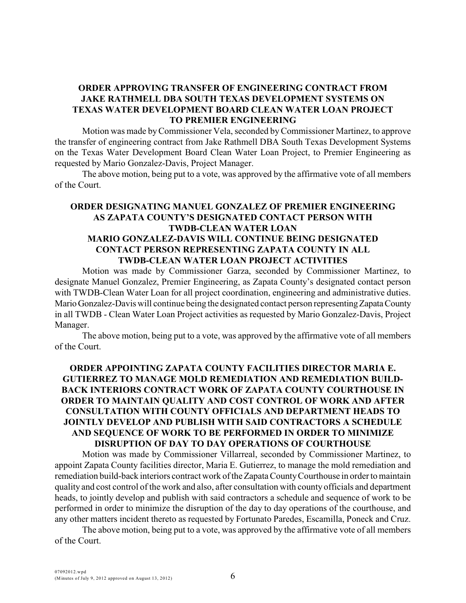## **ORDER APPROVING TRANSFER OF ENGINEERING CONTRACT FROM JAKE RATHMELL DBA SOUTH TEXAS DEVELOPMENT SYSTEMS ON TEXAS WATER DEVELOPMENT BOARD CLEAN WATER LOAN PROJECT TO PREMIER ENGINEERING**

Motion was made by Commissioner Vela, seconded byCommissioner Martinez, to approve the transfer of engineering contract from Jake Rathmell DBA South Texas Development Systems on the Texas Water Development Board Clean Water Loan Project, to Premier Engineering as requested by Mario Gonzalez-Davis, Project Manager.

The above motion, being put to a vote, was approved by the affirmative vote of all members of the Court.

# **ORDER DESIGNATING MANUEL GONZALEZ OF PREMIER ENGINEERING AS ZAPATA COUNTY'S DESIGNATED CONTACT PERSON WITH TWDB-CLEAN WATER LOAN MARIO GONZALEZ-DAVIS WILL CONTINUE BEING DESIGNATED CONTACT PERSON REPRESENTING ZAPATA COUNTY IN ALL TWDB-CLEAN WATER LOAN PROJECT ACTIVITIES**

Motion was made by Commissioner Garza, seconded by Commissioner Martinez, to designate Manuel Gonzalez, Premier Engineering, as Zapata County's designated contact person with TWDB-Clean Water Loan for all project coordination, engineering and administrative duties. Mario Gonzalez-Davis will continue being the designated contact person representing Zapata County in all TWDB - Clean Water Loan Project activities as requested by Mario Gonzalez-Davis, Project Manager.

The above motion, being put to a vote, was approved by the affirmative vote of all members of the Court.

## **ORDER APPOINTING ZAPATA COUNTY FACILITIES DIRECTOR MARIA E. GUTIERREZ TO MANAGE MOLD REMEDIATION AND REMEDIATION BUILD-BACK INTERIORS CONTRACT WORK OF ZAPATA COUNTY COURTHOUSE IN ORDER TO MAINTAIN QUALITY AND COST CONTROL OF WORK AND AFTER CONSULTATION WITH COUNTY OFFICIALS AND DEPARTMENT HEADS TO JOINTLY DEVELOP AND PUBLISH WITH SAID CONTRACTORS A SCHEDULE AND SEQUENCE OF WORK TO BE PERFORMED IN ORDER TO MINIMIZE DISRUPTION OF DAY TO DAY OPERATIONS OF COURTHOUSE**

Motion was made by Commissioner Villarreal, seconded by Commissioner Martinez, to appoint Zapata County facilities director, Maria E. Gutierrez, to manage the mold remediation and remediation build-back interiors contract work of the Zapata County Courthouse in order to maintain quality and cost control of the work and also, after consultation with county officials and department heads, to jointly develop and publish with said contractors a schedule and sequence of work to be performed in order to minimize the disruption of the day to day operations of the courthouse, and any other matters incident thereto as requested by Fortunato Paredes, Escamilla, Poneck and Cruz.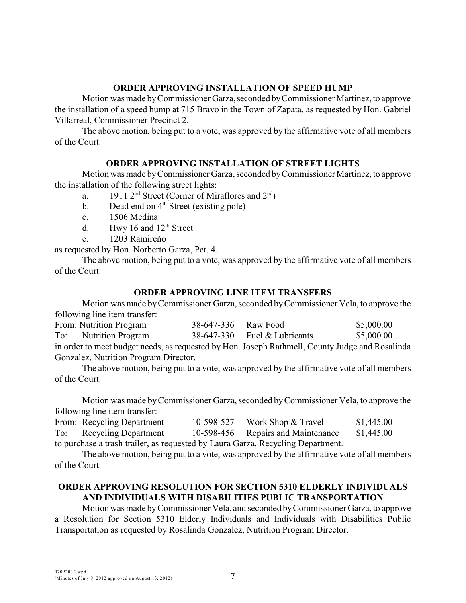## **ORDER APPROVING INSTALLATION OF SPEED HUMP**

Motion was made by Commissioner Garza, seconded by Commissioner Martinez, to approve the installation of a speed hump at 715 Bravo in the Town of Zapata, as requested by Hon. Gabriel Villarreal, Commissioner Precinct 2.

The above motion, being put to a vote, was approved by the affirmative vote of all members of the Court.

### **ORDER APPROVING INSTALLATION OF STREET LIGHTS**

Motion was made by Commissioner Garza, seconded by Commissioner Martinez, to approve the installation of the following street lights:

- a. 1911  $2<sup>nd</sup>$  Street (Corner of Miraflores and  $2<sup>nd</sup>$ )
- b. Dead end on  $4<sup>th</sup>$  Street (existing pole)
- c. 1506 Medina
- d. Hwy 16 and  $12<sup>th</sup>$  Street
- e. 1203 Ramireño

as requested by Hon. Norberto Garza, Pct. 4.

The above motion, being put to a vote, was approved by the affirmative vote of all members of the Court.

#### **ORDER APPROVING LINE ITEM TRANSFERS**

Motion was made by Commissioner Garza, seconded by Commissioner Vela, to approve the following line item transfer:

|                                                                                                 | From: Nutrition Program  | 38-647-336 | Raw Food                       | \$5,000.00 |  |  |  |
|-------------------------------------------------------------------------------------------------|--------------------------|------------|--------------------------------|------------|--|--|--|
| To:                                                                                             | <b>Nutrition Program</b> |            | $38-647-330$ Fuel & Lubricants | \$5,000.00 |  |  |  |
| in order to meet budget needs, as requested by Hon. Joseph Rathmell, County Judge and Rosalinda |                          |            |                                |            |  |  |  |
| Gonzalez, Nutrition Program Director.                                                           |                          |            |                                |            |  |  |  |

The above motion, being put to a vote, was approved by the affirmative vote of all members of the Court.

Motion was made by Commissioner Garza, seconded by Commissioner Vela, to approve the following line item transfer:

|                                                                                 | From: Recycling Department  | 10-598-527 | Work Shop & Travel                 | \$1,445.00 |  |  |  |
|---------------------------------------------------------------------------------|-----------------------------|------------|------------------------------------|------------|--|--|--|
| To:                                                                             | <b>Recycling Department</b> |            | 10-598-456 Repairs and Maintenance | \$1,445.00 |  |  |  |
| to purchase a trash trailer, as requested by Laura Garza, Recycling Department. |                             |            |                                    |            |  |  |  |

The above motion, being put to a vote, was approved by the affirmative vote of all members of the Court.

## **ORDER APPROVING RESOLUTION FOR SECTION 5310 ELDERLY INDIVIDUALS AND INDIVIDUALS WITH DISABILITIES PUBLIC TRANSPORTATION**

Motion was made byCommissioner Vela, and seconded by Commissioner Garza, to approve a Resolution for Section 5310 Elderly Individuals and Individuals with Disabilities Public Transportation as requested by Rosalinda Gonzalez, Nutrition Program Director.